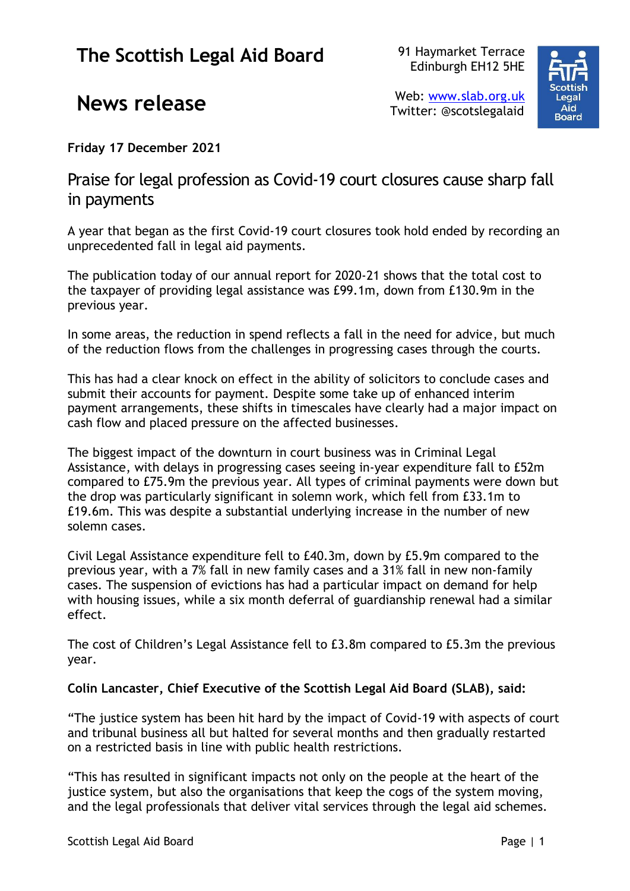## **The Scottish Legal Aid Board**

91 Haymarket Terrace Edinburgh EH12 5HE



## **News release**

Web: [www.slab.org.uk](http://www.slab.org.uk/) Twitter: @scotslegalaid

**Friday 17 December 2021**

Praise for legal profession as Covid-19 court closures cause sharp fall in payments

A year that began as the first Covid-19 court closures took hold ended by recording an unprecedented fall in legal aid payments.

The publication today of our annual report for 2020-21 shows that the total cost to the taxpayer of providing legal assistance was £99.1m, down from £130.9m in the previous year.

In some areas, the reduction in spend reflects a fall in the need for advice, but much of the reduction flows from the challenges in progressing cases through the courts.

This has had a clear knock on effect in the ability of solicitors to conclude cases and submit their accounts for payment. Despite some take up of enhanced interim payment arrangements, these shifts in timescales have clearly had a major impact on cash flow and placed pressure on the affected businesses.

The biggest impact of the downturn in court business was in Criminal Legal Assistance, with delays in progressing cases seeing in-year expenditure fall to £52m compared to £75.9m the previous year. All types of criminal payments were down but the drop was particularly significant in solemn work, which fell from £33.1m to £19.6m. This was despite a substantial underlying increase in the number of new solemn cases.

Civil Legal Assistance expenditure fell to £40.3m, down by £5.9m compared to the previous year, with a 7% fall in new family cases and a 31% fall in new non-family cases. The suspension of evictions has had a particular impact on demand for help with housing issues, while a six month deferral of guardianship renewal had a similar effect.

The cost of Children's Legal Assistance fell to £3.8m compared to £5.3m the previous year.

## **Colin Lancaster, Chief Executive of the Scottish Legal Aid Board (SLAB), said:**

"The justice system has been hit hard by the impact of Covid-19 with aspects of court and tribunal business all but halted for several months and then gradually restarted on a restricted basis in line with public health restrictions.

"This has resulted in significant impacts not only on the people at the heart of the justice system, but also the organisations that keep the cogs of the system moving, and the legal professionals that deliver vital services through the legal aid schemes.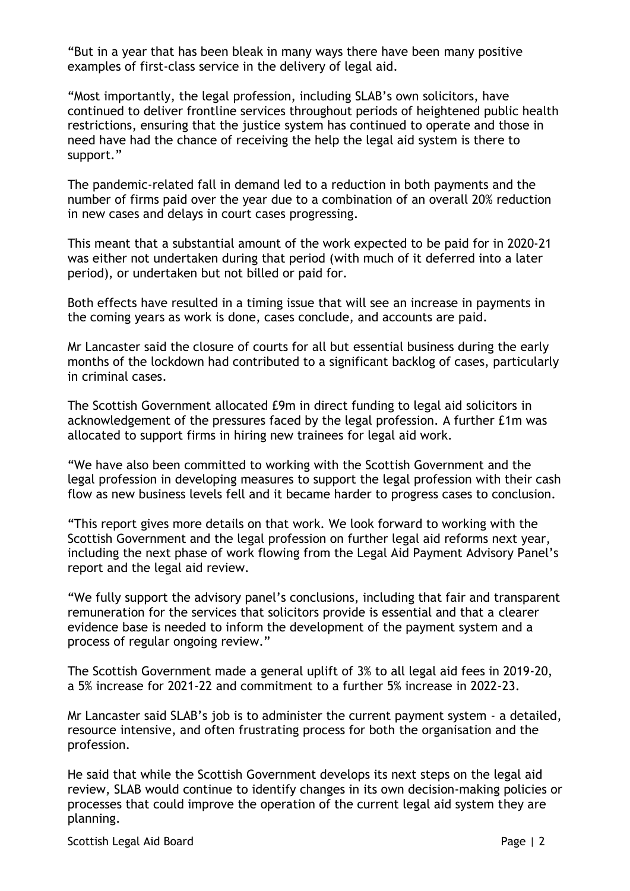"But in a year that has been bleak in many ways there have been many positive examples of first-class service in the delivery of legal aid.

"Most importantly, the legal profession, including SLAB's own solicitors, have continued to deliver frontline services throughout periods of heightened public health restrictions, ensuring that the justice system has continued to operate and those in need have had the chance of receiving the help the legal aid system is there to support."

The pandemic-related fall in demand led to a reduction in both payments and the number of firms paid over the year due to a combination of an overall 20% reduction in new cases and delays in court cases progressing.

This meant that a substantial amount of the work expected to be paid for in 2020-21 was either not undertaken during that period (with much of it deferred into a later period), or undertaken but not billed or paid for.

Both effects have resulted in a timing issue that will see an increase in payments in the coming years as work is done, cases conclude, and accounts are paid.

Mr Lancaster said the closure of courts for all but essential business during the early months of the lockdown had contributed to a significant backlog of cases, particularly in criminal cases.

The Scottish Government allocated £9m in direct funding to legal aid solicitors in acknowledgement of the pressures faced by the legal profession. A further £1m was allocated to support firms in hiring new trainees for legal aid work.

"We have also been committed to working with the Scottish Government and the legal profession in developing measures to support the legal profession with their cash flow as new business levels fell and it became harder to progress cases to conclusion.

"This report gives more details on that work. We look forward to working with the Scottish Government and the legal profession on further legal aid reforms next year, including the next phase of work flowing from the Legal Aid Payment Advisory Panel's report and the legal aid review.

"We fully support the advisory panel's conclusions, including that fair and transparent remuneration for the services that solicitors provide is essential and that a clearer evidence base is needed to inform the development of the payment system and a process of regular ongoing review."

The Scottish Government made a general uplift of 3% to all legal aid fees in 2019-20, a 5% increase for 2021-22 and commitment to a further 5% increase in 2022-23.

Mr Lancaster said SLAB's job is to administer the current payment system - a detailed, resource intensive, and often frustrating process for both the organisation and the profession.

He said that while the Scottish Government develops its next steps on the legal aid review, SLAB would continue to identify changes in its own decision-making policies or processes that could improve the operation of the current legal aid system they are planning.